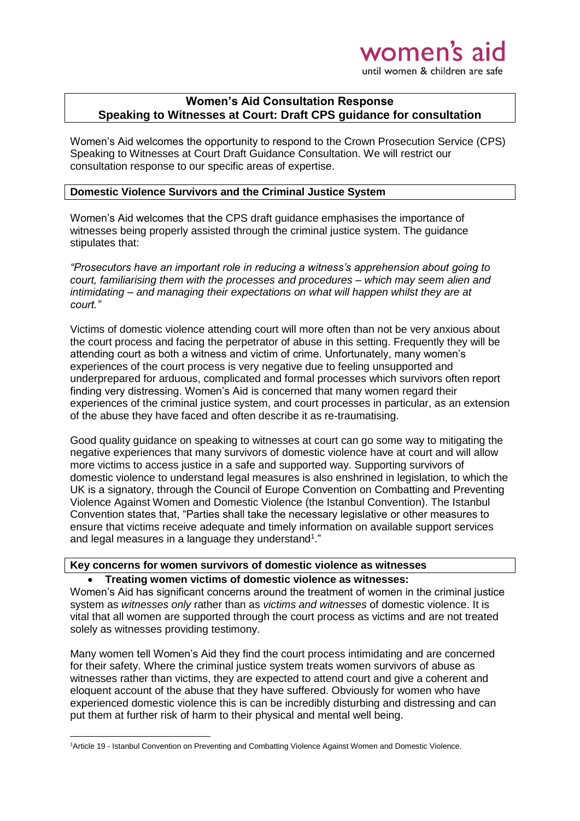# women's a until women & children are safe

## **Women's Aid Consultation Response Speaking to Witnesses at Court: Draft CPS guidance for consultation**

Women's Aid welcomes the opportunity to respond to the Crown Prosecution Service (CPS) Speaking to Witnesses at Court Draft Guidance Consultation. We will restrict our consultation response to our specific areas of expertise.

#### **Domestic Violence Survivors and the Criminal Justice System**

Women's Aid welcomes that the CPS draft guidance emphasises the importance of witnesses being properly assisted through the criminal justice system. The guidance stipulates that:

*"Prosecutors have an important role in reducing a witness's apprehension about going to court, familiarising them with the processes and procedures – which may seem alien and intimidating – and managing their expectations on what will happen whilst they are at court."*

Victims of domestic violence attending court will more often than not be very anxious about the court process and facing the perpetrator of abuse in this setting. Frequently they will be attending court as both a witness and victim of crime. Unfortunately, many women's experiences of the court process is very negative due to feeling unsupported and underprepared for arduous, complicated and formal processes which survivors often report finding very distressing. Women's Aid is concerned that many women regard their experiences of the criminal justice system, and court processes in particular, as an extension of the abuse they have faced and often describe it as re-traumatising.

Good quality guidance on speaking to witnesses at court can go some way to mitigating the negative experiences that many survivors of domestic violence have at court and will allow more victims to access justice in a safe and supported way. Supporting survivors of domestic violence to understand legal measures is also enshrined in legislation, to which the UK is a signatory, through the Council of Europe Convention on Combatting and Preventing Violence Against Women and Domestic Violence (the Istanbul Convention). The Istanbul Convention states that, "Parties shall take the necessary legislative or other measures to ensure that victims receive adequate and timely information on available support services and legal measures in a language they understand<sup>1</sup>."

### **Key concerns for women survivors of domestic violence as witnesses Treating women victims of domestic violence as witnesses:**

Women's Aid has significant concerns around the treatment of women in the criminal justice system as *witnesses only* rather than as *victims and witnesses* of domestic violence. It is vital that all women are supported through the court process as victims and are not treated solely as witnesses providing testimony.

Many women tell Women's Aid they find the court process intimidating and are concerned for their safety. Where the criminal justice system treats women survivors of abuse as witnesses rather than victims, they are expected to attend court and give a coherent and eloquent account of the abuse that they have suffered. Obviously for women who have experienced domestic violence this is can be incredibly disturbing and distressing and can put them at further risk of harm to their physical and mental well being.

**.** 

<sup>1</sup>Article 19 - Istanbul Convention on Preventing and Combatting Violence Against Women and Domestic Violence.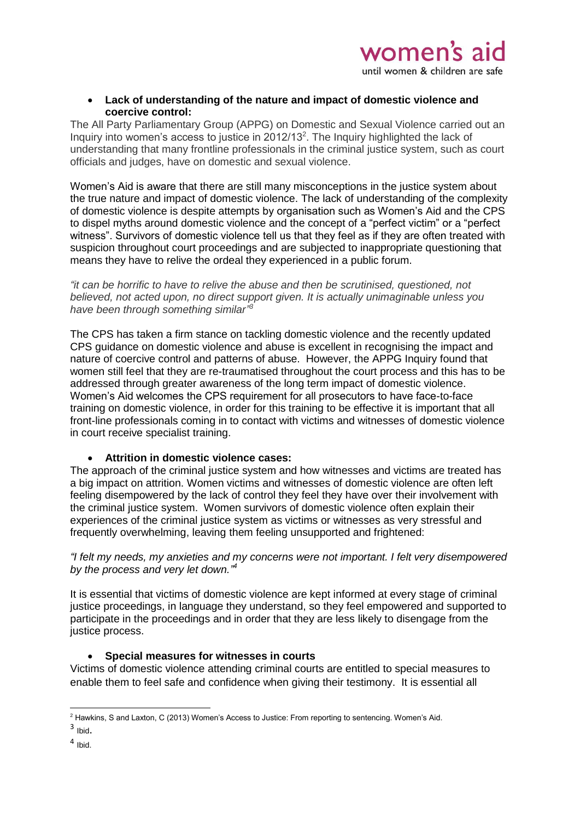**Lack of understanding of the nature and impact of domestic violence and coercive control:**

The All Party Parliamentary Group (APPG) on Domestic and Sexual Violence carried out an Inquiry into women's access to justice in 2012/13<sup>2</sup>. The Inquiry highlighted the lack of understanding that many frontline professionals in the criminal justice system, such as court officials and judges, have on domestic and sexual violence.

Women's Aid is aware that there are still many misconceptions in the justice system about the true nature and impact of domestic violence. The lack of understanding of the complexity of domestic violence is despite attempts by organisation such as Women's Aid and the CPS to dispel myths around domestic violence and the concept of a "perfect victim" or a "perfect witness". Survivors of domestic violence tell us that they feel as if they are often treated with suspicion throughout court proceedings and are subjected to inappropriate questioning that means they have to relive the ordeal they experienced in a public forum.

*"it can be horrific to have to relive the abuse and then be scrutinised, questioned, not believed, not acted upon, no direct support given. It is actually unimaginable unless you have been through something similar" 3*

The CPS has taken a firm stance on tackling domestic violence and the recently updated CPS guidance on domestic violence and abuse is excellent in recognising the impact and nature of coercive control and patterns of abuse. However, the APPG Inquiry found that women still feel that they are re-traumatised throughout the court process and this has to be addressed through greater awareness of the long term impact of domestic violence. Women's Aid welcomes the CPS requirement for all prosecutors to have face-to-face training on domestic violence, in order for this training to be effective it is important that all front-line professionals coming in to contact with victims and witnesses of domestic violence in court receive specialist training.

## **Attrition in domestic violence cases:**

The approach of the criminal justice system and how witnesses and victims are treated has a big impact on attrition. Women victims and witnesses of domestic violence are often left feeling disempowered by the lack of control they feel they have over their involvement with the criminal justice system. Women survivors of domestic violence often explain their experiences of the criminal justice system as victims or witnesses as very stressful and frequently overwhelming, leaving them feeling unsupported and frightened:

*"I felt my needs, my anxieties and my concerns were not important. I felt very disempowered by the process and very let down." 4*

It is essential that victims of domestic violence are kept informed at every stage of criminal justice proceedings, in language they understand, so they feel empowered and supported to participate in the proceedings and in order that they are less likely to disengage from the justice process.

#### **Special measures for witnesses in courts**

Victims of domestic violence attending criminal courts are entitled to special measures to enable them to feel safe and confidence when giving their testimony. It is essential all

**<sup>.</sup>** <sup>2</sup> Hawkins, S and Laxton, C (2013) Women's Access to Justice: From reporting to sentencing. Women's Aid.

 $3$  Ibid.

<sup>4</sup> Ibid.